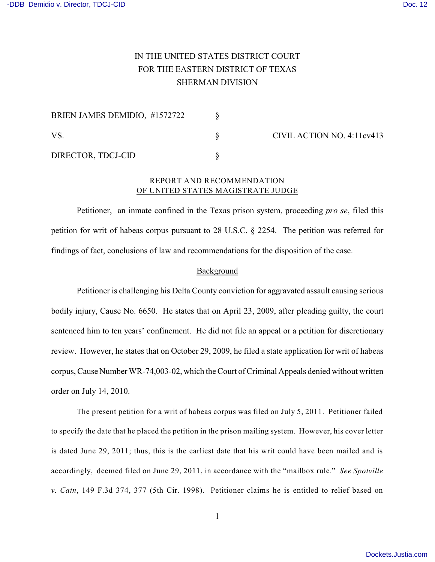# IN THE UNITED STATES DISTRICT COURT FOR THE EASTERN DISTRICT OF TEXAS SHERMAN DIVISION

| BRIEN JAMES DEMIDIO, #1572722 |  | CIVIL ACTION NO. 4:11cv413 |
|-------------------------------|--|----------------------------|
| VS.                           |  |                            |
| DIRECTOR, TDCJ-CID            |  |                            |

## REPORT AND RECOMMENDATION OF UNITED STATES MAGISTRATE JUDGE

Petitioner, an inmate confined in the Texas prison system, proceeding *pro se*, filed this petition for writ of habeas corpus pursuant to 28 U.S.C. § 2254. The petition was referred for findings of fact, conclusions of law and recommendations for the disposition of the case.

## Background

Petitioner is challenging his Delta County conviction for aggravated assault causing serious bodily injury, Cause No. 6650. He states that on April 23, 2009, after pleading guilty, the court sentenced him to ten years' confinement. He did not file an appeal or a petition for discretionary review. However, he states that on October 29, 2009, he filed a state application for writ of habeas corpus, Cause Number WR-74,003-02, which the Court of Criminal Appeals denied without written order on July 14, 2010.

The present petition for a writ of habeas corpus was filed on July 5, 2011. Petitioner failed to specify the date that he placed the petition in the prison mailing system. However, his cover letter is dated June 29, 2011; thus, this is the earliest date that his writ could have been mailed and is accordingly, deemed filed on June 29, 2011, in accordance with the "mailbox rule." *See Spotville v. Cain*, 149 F.3d 374, 377 (5th Cir. 1998). Petitioner claims he is entitled to relief based on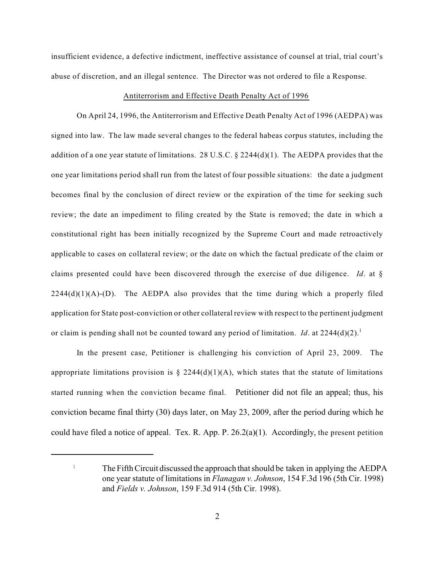insufficient evidence, a defective indictment, ineffective assistance of counsel at trial, trial court's abuse of discretion, and an illegal sentence. The Director was not ordered to file a Response.

#### Antiterrorism and Effective Death Penalty Act of 1996

On April 24, 1996, the Antiterrorism and Effective Death Penalty Act of 1996 (AEDPA) was signed into law. The law made several changes to the federal habeas corpus statutes, including the addition of a one year statute of limitations. 28 U.S.C.  $\S$  2244(d)(1). The AEDPA provides that the one year limitations period shall run from the latest of four possible situations: the date a judgment becomes final by the conclusion of direct review or the expiration of the time for seeking such review; the date an impediment to filing created by the State is removed; the date in which a constitutional right has been initially recognized by the Supreme Court and made retroactively applicable to cases on collateral review; or the date on which the factual predicate of the claim or claims presented could have been discovered through the exercise of due diligence. *Id*. at §  $2244(d)(1)(A)-D$ . The AEDPA also provides that the time during which a properly filed application for State post-conviction or other collateral review with respect to the pertinent judgment or claim is pending shall not be counted toward any period of limitation. *Id*. at 2244(d)(2). 1

In the present case, Petitioner is challenging his conviction of April 23, 2009. The appropriate limitations provision is  $\S 2244(d)(1)(A)$ , which states that the statute of limitations started running when the conviction became final. Petitioner did not file an appeal; thus, his conviction became final thirty (30) days later, on May 23, 2009, after the period during which he could have filed a notice of appeal. Tex. R. App. P. 26.2(a)(1). Accordingly, the present petition

<sup>&</sup>lt;sup>1</sup> The Fifth Circuit discussed the approach that should be taken in applying the AEDPA one year statute of limitations in *Flanagan v. Johnson*, 154 F.3d 196 (5th Cir. 1998) and *Fields v. Johnson*, 159 F.3d 914 (5th Cir. 1998).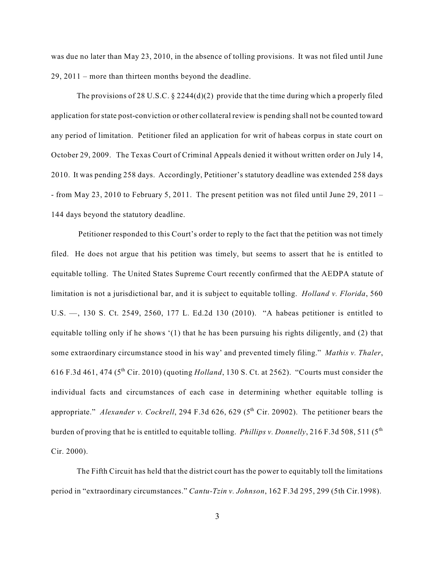was due no later than May 23, 2010, in the absence of tolling provisions. It was not filed until June 29, 2011 – more than thirteen months beyond the deadline.

The provisions of 28 U.S.C.  $\S$  2244(d)(2) provide that the time during which a properly filed application forstate post-conviction or other collateral review is pending shall not be counted toward any period of limitation. Petitioner filed an application for writ of habeas corpus in state court on October 29, 2009. The Texas Court of Criminal Appeals denied it without written order on July 14, 2010. It was pending 258 days. Accordingly, Petitioner's statutory deadline was extended 258 days - from May 23, 2010 to February 5, 2011. The present petition was not filed until June 29, 2011 – 144 days beyond the statutory deadline.

Petitioner responded to this Court's order to reply to the fact that the petition was not timely filed. He does not argue that his petition was timely, but seems to assert that he is entitled to equitable tolling. The United States Supreme Court recently confirmed that the AEDPA statute of limitation is not a jurisdictional bar, and it is subject to equitable tolling. *Holland v. Florida*, 560 U.S. —, 130 S. Ct. 2549, 2560, 177 L. Ed.2d 130 (2010). "A habeas petitioner is entitled to equitable tolling only if he shows '(1) that he has been pursuing his rights diligently, and (2) that some extraordinary circumstance stood in his way' and prevented timely filing." *Mathis v. Thaler*, 616 F.3d 461, 474 ( $5^{th}$  Cir. 2010) (quoting *Holland*, 130 S. Ct. at 2562). "Courts must consider the individual facts and circumstances of each case in determining whether equitable tolling is appropriate." Alexander v. Cockrell, 294 F.3d 626, 629 (5<sup>th</sup> Cir. 20902). The petitioner bears the burden of proving that he is entitled to equitable tolling. *Phillips v. Donnelly*, 216 F.3d 508, 511 (5 th Cir. 2000).

The Fifth Circuit has held that the district court has the power to equitably toll the limitations period in "extraordinary circumstances." *Cantu-Tzin v. Johnson*, 162 F.3d 295, 299 (5th Cir.1998).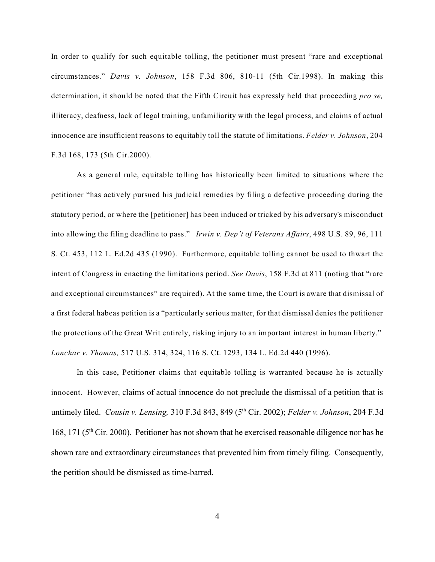In order to qualify for such equitable tolling, the petitioner must present "rare and exceptional circumstances." *Davis v. Johnson*, 158 F.3d 806, 810-11 (5th Cir.1998). In making this determination, it should be noted that the Fifth Circuit has expressly held that proceeding *pro se,* illiteracy, deafness, lack of legal training, unfamiliarity with the legal process, and claims of actual innocence are insufficient reasons to equitably toll the statute of limitations. *Felder v. Johnson*, 204 F.3d 168, 173 (5th Cir.2000).

As a general rule, equitable tolling has historically been limited to situations where the petitioner "has actively pursued his judicial remedies by filing a defective proceeding during the statutory period, or where the [petitioner] has been induced or tricked by his adversary's misconduct into allowing the filing deadline to pass." *Irwin v. Dep't of Veterans Affairs*, 498 U.S. 89, 96, 111 S. Ct. 453, 112 L. Ed.2d 435 (1990). Furthermore, equitable tolling cannot be used to thwart the intent of Congress in enacting the limitations period. *See Davis*, 158 F.3d at 811 (noting that "rare and exceptional circumstances" are required). At the same time, the Court is aware that dismissal of a first federal habeas petition is a "particularly serious matter, for that dismissal denies the petitioner the protections of the Great Writ entirely, risking injury to an important interest in human liberty." *Lonchar v. Thomas,* 517 U.S. 314, 324, 116 S. Ct. 1293, 134 L. Ed.2d 440 (1996).

In this case, Petitioner claims that equitable tolling is warranted because he is actually innocent. However, claims of actual innocence do not preclude the dismissal of a petition that is untimely filed. *Cousin v. Lensing*, 310 F.3d 843, 849 (5<sup>th</sup> Cir. 2002); *Felder v. Johnson*, 204 F.3d 168, 171 ( $5<sup>th</sup>$  Cir. 2000). Petitioner has not shown that he exercised reasonable diligence nor has he shown rare and extraordinary circumstances that prevented him from timely filing. Consequently, the petition should be dismissed as time-barred.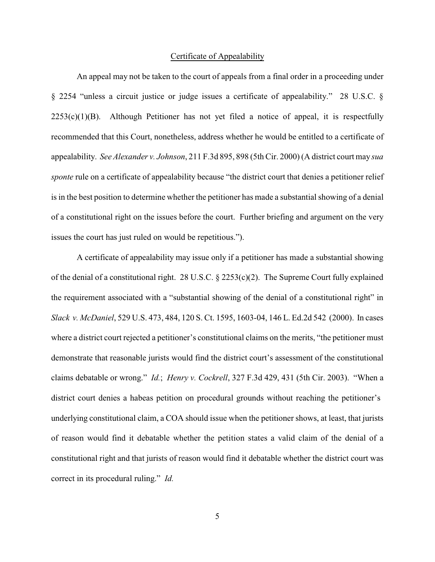### Certificate of Appealability

An appeal may not be taken to the court of appeals from a final order in a proceeding under § 2254 "unless a circuit justice or judge issues a certificate of appealability." 28 U.S.C. §  $2253(c)(1)(B)$ . Although Petitioner has not yet filed a notice of appeal, it is respectfully recommended that this Court, nonetheless, address whether he would be entitled to a certificate of appealability. *See Alexander v. Johnson*, 211 F.3d 895, 898 (5th Cir. 2000) (A district court may *sua sponte* rule on a certificate of appealability because "the district court that denies a petitioner relief is in the best position to determine whether the petitioner has made a substantial showing of a denial of a constitutional right on the issues before the court. Further briefing and argument on the very issues the court has just ruled on would be repetitious.").

A certificate of appealability may issue only if a petitioner has made a substantial showing of the denial of a constitutional right. 28 U.S.C. § 2253(c)(2). The Supreme Court fully explained the requirement associated with a "substantial showing of the denial of a constitutional right" in *Slack v. McDaniel*, 529 U.S. 473, 484, 120 S. Ct. 1595, 1603-04, 146 L. Ed.2d 542 (2000). In cases where a district court rejected a petitioner's constitutional claims on the merits, "the petitioner must demonstrate that reasonable jurists would find the district court's assessment of the constitutional claims debatable or wrong." *Id.*; *Henry v. Cockrell*, 327 F.3d 429, 431 (5th Cir. 2003). "When a district court denies a habeas petition on procedural grounds without reaching the petitioner's underlying constitutional claim, a COA should issue when the petitioner shows, at least, that jurists of reason would find it debatable whether the petition states a valid claim of the denial of a constitutional right and that jurists of reason would find it debatable whether the district court was correct in its procedural ruling." *Id.*